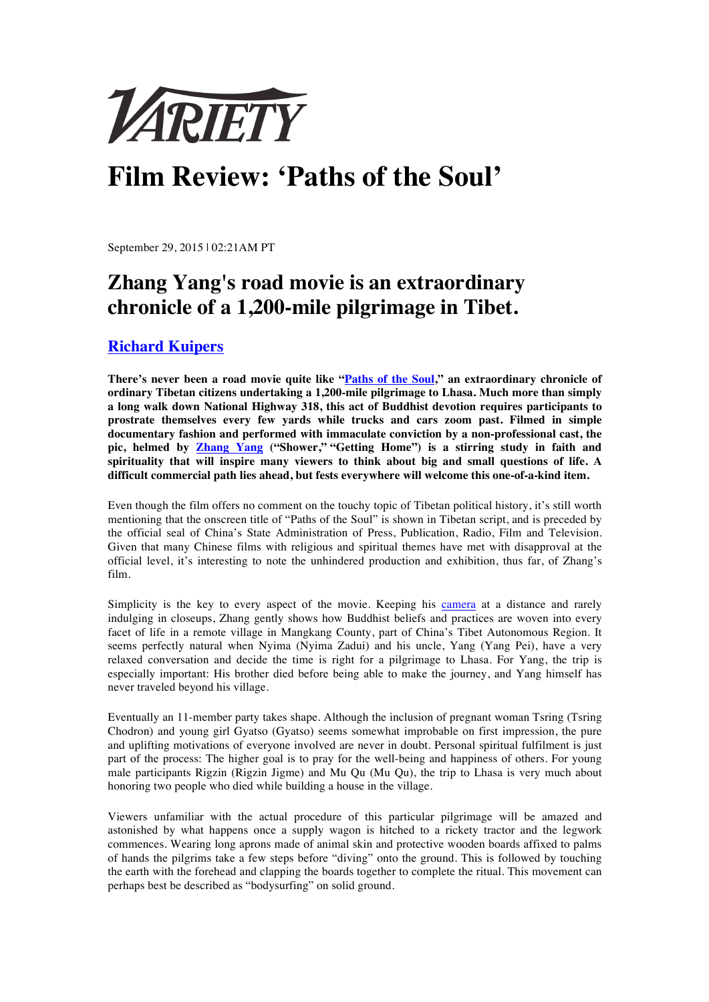

## **Film Review: 'Paths of the Soul'**

September 29, 2015 | 02:21AM PT

## **Zhang Yang's road movie is an extraordinary chronicle of a 1,200-mile pilgrimage in Tibet.**

## **Richard Kuipers**

**There's never been a road movie quite like "Paths of the Soul," an extraordinary chronicle of ordinary Tibetan citizens undertaking a 1,200-mile pilgrimage to Lhasa. Much more than simply a long walk down National Highway 318, this act of Buddhist devotion requires participants to prostrate themselves every few yards while trucks and cars zoom past. Filmed in simple documentary fashion and performed with immaculate conviction by a non-professional cast, the pic, helmed by Zhang Yang ("Shower," "Getting Home") is a stirring study in faith and spirituality that will inspire many viewers to think about big and small questions of life. A difficult commercial path lies ahead, but fests everywhere will welcome this one-of-a-kind item.**

Even though the film offers no comment on the touchy topic of Tibetan political history, it's still worth mentioning that the onscreen title of "Paths of the Soul" is shown in Tibetan script, and is preceded by the official seal of China's State Administration of Press, Publication, Radio, Film and Television. Given that many Chinese films with religious and spiritual themes have met with disapproval at the official level, it's interesting to note the unhindered production and exhibition, thus far, of Zhang's film.

Simplicity is the key to every aspect of the movie. Keeping his camera at a distance and rarely indulging in closeups, Zhang gently shows how Buddhist beliefs and practices are woven into every facet of life in a remote village in Mangkang County, part of China's Tibet Autonomous Region. It seems perfectly natural when Nyima (Nyima Zadui) and his uncle, Yang (Yang Pei), have a very relaxed conversation and decide the time is right for a pilgrimage to Lhasa. For Yang, the trip is especially important: His brother died before being able to make the journey, and Yang himself has never traveled beyond his village.

Eventually an 11-member party takes shape. Although the inclusion of pregnant woman Tsring (Tsring Chodron) and young girl Gyatso (Gyatso) seems somewhat improbable on first impression, the pure and uplifting motivations of everyone involved are never in doubt. Personal spiritual fulfilment is just part of the process: The higher goal is to pray for the well-being and happiness of others. For young male participants Rigzin (Rigzin Jigme) and Mu Qu (Mu Qu), the trip to Lhasa is very much about honoring two people who died while building a house in the village.

Viewers unfamiliar with the actual procedure of this particular pilgrimage will be amazed and astonished by what happens once a supply wagon is hitched to a rickety tractor and the legwork commences. Wearing long aprons made of animal skin and protective wooden boards affixed to palms of hands the pilgrims take a few steps before "diving" onto the ground. This is followed by touching the earth with the forehead and clapping the boards together to complete the ritual. This movement can perhaps best be described as "bodysurfing" on solid ground.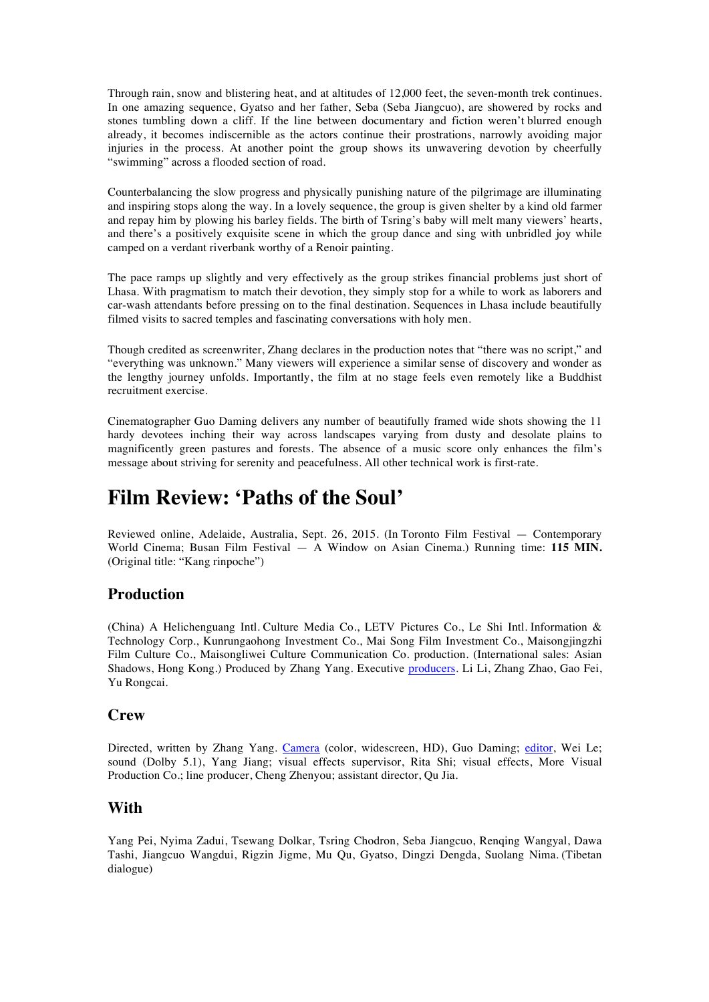Through rain, snow and blistering heat, and at altitudes of 12,000 feet, the seven-month trek continues. In one amazing sequence, Gyatso and her father, Seba (Seba Jiangcuo), are showered by rocks and stones tumbling down a cliff. If the line between documentary and fiction weren't blurred enough already, it becomes indiscernible as the actors continue their prostrations, narrowly avoiding major injuries in the process. At another point the group shows its unwavering devotion by cheerfully "swimming" across a flooded section of road.

Counterbalancing the slow progress and physically punishing nature of the pilgrimage are illuminating and inspiring stops along the way. In a lovely sequence, the group is given shelter by a kind old farmer and repay him by plowing his barley fields. The birth of Tsring's baby will melt many viewers' hearts, and there's a positively exquisite scene in which the group dance and sing with unbridled joy while camped on a verdant riverbank worthy of a Renoir painting.

The pace ramps up slightly and very effectively as the group strikes financial problems just short of Lhasa. With pragmatism to match their devotion, they simply stop for a while to work as laborers and car-wash attendants before pressing on to the final destination. Sequences in Lhasa include beautifully filmed visits to sacred temples and fascinating conversations with holy men.

Though credited as screenwriter, Zhang declares in the production notes that "there was no script," and "everything was unknown." Many viewers will experience a similar sense of discovery and wonder as the lengthy journey unfolds. Importantly, the film at no stage feels even remotely like a Buddhist recruitment exercise.

Cinematographer Guo Daming delivers any number of beautifully framed wide shots showing the 11 hardy devotees inching their way across landscapes varying from dusty and desolate plains to magnificently green pastures and forests. The absence of a music score only enhances the film's message about striving for serenity and peacefulness. All other technical work is first-rate.

## **Film Review: 'Paths of the Soul'**

Reviewed online, Adelaide, Australia, Sept. 26, 2015. (In Toronto Film Festival — Contemporary World Cinema; Busan Film Festival — A Window on Asian Cinema.) Running time: **115 MIN.**  (Original title: "Kang rinpoche")

## **Production**

(China) A Helichenguang Intl. Culture Media Co., LETV Pictures Co., Le Shi Intl. Information & Technology Corp., Kunrungaohong Investment Co., Mai Song Film Investment Co., Maisongjingzhi Film Culture Co., Maisongliwei Culture Communication Co. production. (International sales: Asian Shadows, Hong Kong.) Produced by Zhang Yang. Executive producers. Li Li, Zhang Zhao, Gao Fei, Yu Rongcai.

## **Crew**

Directed, written by Zhang Yang. Camera (color, widescreen, HD), Guo Daming; editor, Wei Le; sound (Dolby 5.1), Yang Jiang; visual effects supervisor, Rita Shi; visual effects, More Visual Production Co.; line producer, Cheng Zhenyou; assistant director, Qu Jia.

## **With**

Yang Pei, Nyima Zadui, Tsewang Dolkar, Tsring Chodron, Seba Jiangcuo, Renqing Wangyal, Dawa Tashi, Jiangcuo Wangdui, Rigzin Jigme, Mu Qu, Gyatso, Dingzi Dengda, Suolang Nima. (Tibetan dialogue)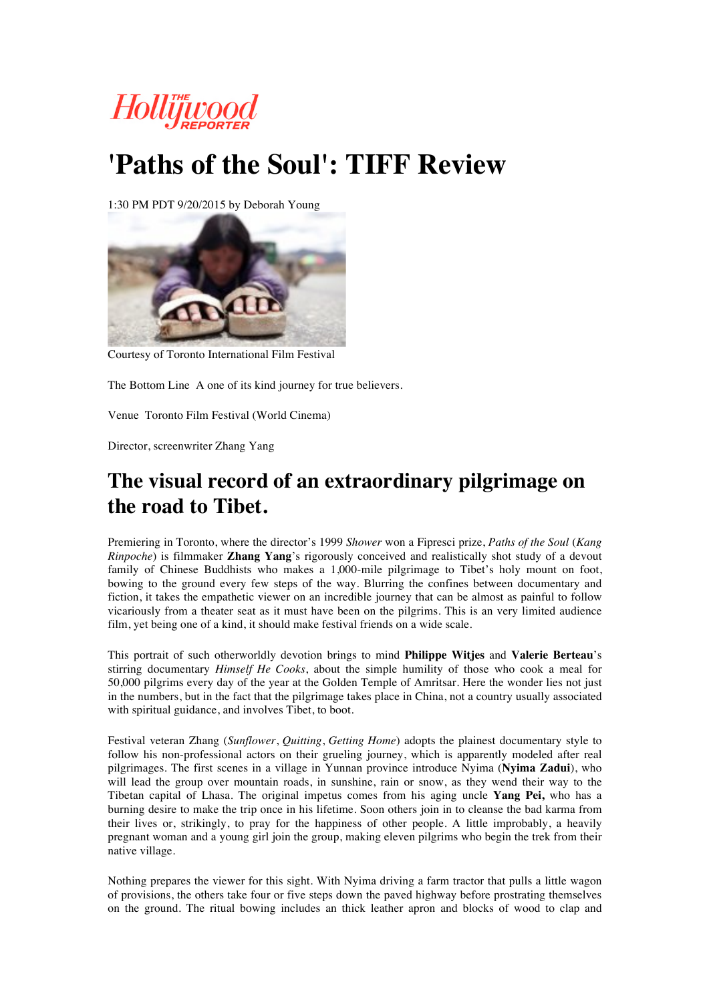

# **'Paths of the Soul': TIFF Review**

1:30 PM PDT 9/20/2015 by Deborah Young



Courtesy of Toronto International Film Festival

The Bottom Line A one of its kind journey for true believers.

Venue Toronto Film Festival (World Cinema)

Director, screenwriter Zhang Yang

## **The visual record of an extraordinary pilgrimage on the road to Tibet.**

Premiering in Toronto, where the director's 1999 *Shower* won a Fipresci prize, *Paths of the Soul* (*Kang Rinpoche*) is filmmaker **Zhang Yang**'s rigorously conceived and realistically shot study of a devout family of Chinese Buddhists who makes a 1,000-mile pilgrimage to Tibet's holy mount on foot, bowing to the ground every few steps of the way. Blurring the confines between documentary and fiction, it takes the empathetic viewer on an incredible journey that can be almost as painful to follow vicariously from a theater seat as it must have been on the pilgrims. This is an very limited audience film, yet being one of a kind, it should make festival friends on a wide scale.

This portrait of such otherworldly devotion brings to mind **Philippe Witjes** and **Valerie Berteau**'s stirring documentary *Himself He Cooks*, about the simple humility of those who cook a meal for 50,000 pilgrims every day of the year at the Golden Temple of Amritsar. Here the wonder lies not just in the numbers, but in the fact that the pilgrimage takes place in China, not a country usually associated with spiritual guidance, and involves Tibet, to boot.

Festival veteran Zhang (*Sunflower*, *Quitting*, *Getting Home*) adopts the plainest documentary style to follow his non-professional actors on their grueling journey, which is apparently modeled after real pilgrimages. The first scenes in a village in Yunnan province introduce Nyima (**Nyima Zadui**), who will lead the group over mountain roads, in sunshine, rain or snow, as they wend their way to the Tibetan capital of Lhasa. The original impetus comes from his aging uncle **Yang Pei,** who has a burning desire to make the trip once in his lifetime. Soon others join in to cleanse the bad karma from their lives or, strikingly, to pray for the happiness of other people. A little improbably, a heavily pregnant woman and a young girl join the group, making eleven pilgrims who begin the trek from their native village.

Nothing prepares the viewer for this sight. With Nyima driving a farm tractor that pulls a little wagon of provisions, the others take four or five steps down the paved highway before prostrating themselves on the ground. The ritual bowing includes an thick leather apron and blocks of wood to clap and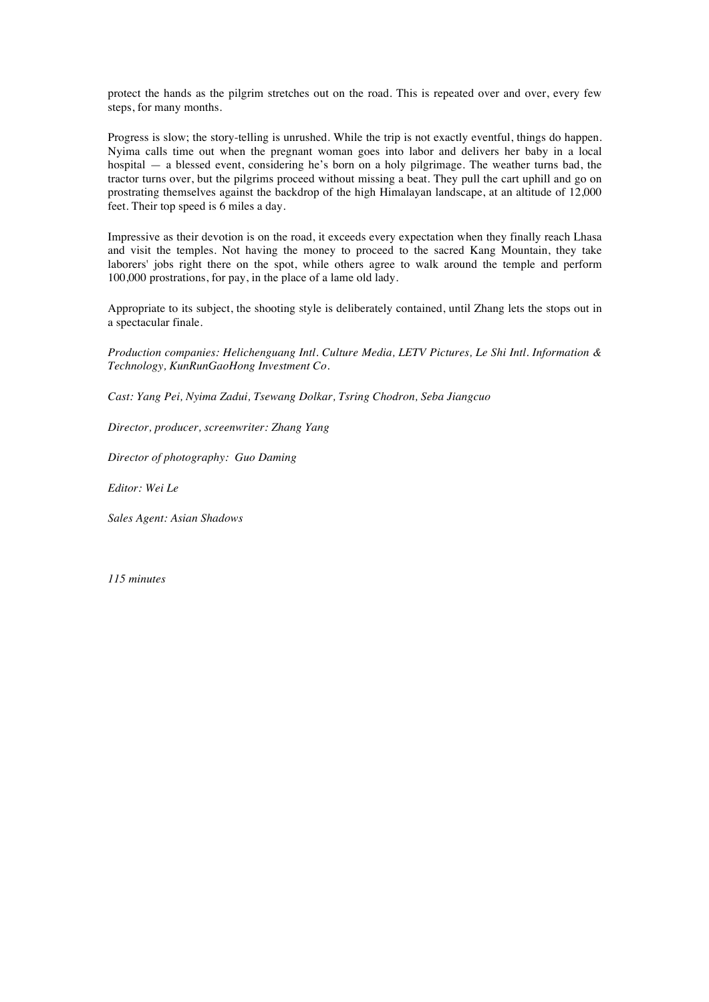protect the hands as the pilgrim stretches out on the road. This is repeated over and over, every few steps, for many months.

Progress is slow; the story-telling is unrushed. While the trip is not exactly eventful, things do happen. Nyima calls time out when the pregnant woman goes into labor and delivers her baby in a local hospital — a blessed event, considering he's born on a holy pilgrimage. The weather turns bad, the tractor turns over, but the pilgrims proceed without missing a beat. They pull the cart uphill and go on prostrating themselves against the backdrop of the high Himalayan landscape, at an altitude of 12,000 feet. Their top speed is 6 miles a day.

Impressive as their devotion is on the road, it exceeds every expectation when they finally reach Lhasa and visit the temples. Not having the money to proceed to the sacred Kang Mountain, they take laborers' jobs right there on the spot, while others agree to walk around the temple and perform 100,000 prostrations, for pay, in the place of a lame old lady.

Appropriate to its subject, the shooting style is deliberately contained, until Zhang lets the stops out in a spectacular finale.

*Production companies: Helichenguang Intl. Culture Media, LETV Pictures, Le Shi Intl. Information & Technology, KunRunGaoHong Investment Co.*

*Cast: Yang Pei, Nyima Zadui, Tsewang Dolkar, Tsring Chodron, Seba Jiangcuo*

*Director, producer, screenwriter: Zhang Yang*

*Director of photography: Guo Daming*

*Editor: Wei Le*

*Sales Agent: Asian Shadows*

*115 minutes*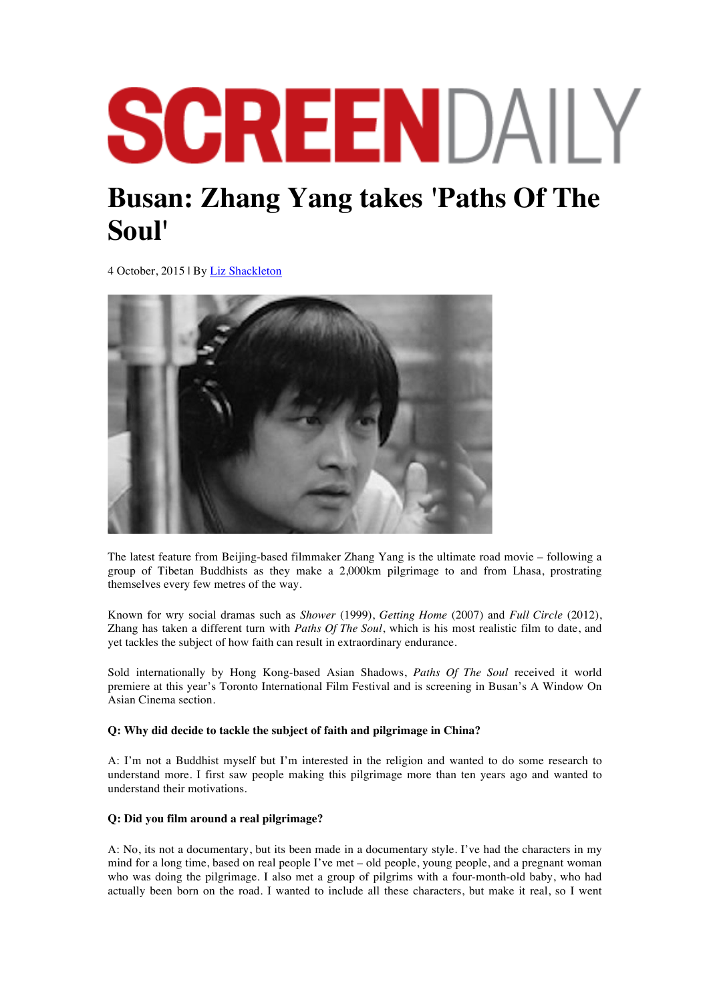# SCREENDAILY

# **Busan: Zhang Yang takes 'Paths Of The Soul'**

4 October, 2015 | By Liz Shackleton



The latest feature from Beijing-based filmmaker Zhang Yang is the ultimate road movie – following a group of Tibetan Buddhists as they make a 2,000km pilgrimage to and from Lhasa, prostrating themselves every few metres of the way.

Known for wry social dramas such as *Shower* (1999), *Getting Home* (2007) and *Full Circle* (2012), Zhang has taken a different turn with *Paths Of The Soul*, which is his most realistic film to date, and yet tackles the subject of how faith can result in extraordinary endurance.

Sold internationally by Hong Kong-based Asian Shadows, *Paths Of The Soul* received it world premiere at this year's Toronto International Film Festival and is screening in Busan's A Window On Asian Cinema section.

## **Q: Why did decide to tackle the subject of faith and pilgrimage in China?**

A: I'm not a Buddhist myself but I'm interested in the religion and wanted to do some research to understand more. I first saw people making this pilgrimage more than ten years ago and wanted to understand their motivations.

## **Q: Did you film around a real pilgrimage?**

A: No, its not a documentary, but its been made in a documentary style. I've had the characters in my mind for a long time, based on real people I've met – old people, young people, and a pregnant woman who was doing the pilgrimage. I also met a group of pilgrims with a four-month-old baby, who had actually been born on the road. I wanted to include all these characters, but make it real, so I went